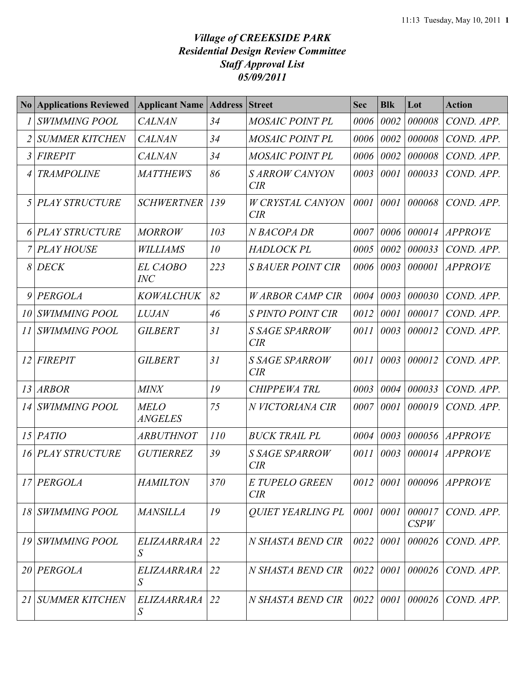## *Village of CREEKSIDE PARK Residential Design Review Committee Staff Approval List 05/09/2011*

|    | <b>No Applications Reviewed</b> | <b>Applicant Name   Address  </b> |            | <b>Street</b>                  | <b>Sec</b> | <b>Blk</b>  | Lot            | <b>Action</b>    |
|----|---------------------------------|-----------------------------------|------------|--------------------------------|------------|-------------|----------------|------------------|
|    | <b>SWIMMING POOL</b>            | <b>CALNAN</b>                     | 34         | <b>MOSAIC POINT PL</b>         | 0006       | 0002        | 000008         | COND. APP.       |
|    | <b>SUMMER KITCHEN</b>           | <b>CALNAN</b>                     | 34         | <b>MOSAIC POINT PL</b>         | 0006       | 0002        | 000008         | COND. APP.       |
| 3  | <b>FIREPIT</b>                  | <b>CALNAN</b>                     | 34         | <b>MOSAIC POINT PL</b>         | 0006       | 0002        | 000008         | COND. APP.       |
|    | <b>TRAMPOLINE</b>               | <b>MATTHEWS</b>                   | 86         | <b>SARROW CANYON</b><br>CIR    | 0003       | 0001        | 000033         | COND. APP.       |
|    | 5 PLAY STRUCTURE                | <b>SCHWERTNER</b>                 | 139        | <b>W CRYSTAL CANYON</b><br>CIR | 0001       | 0001        | 000068         | COND. APP.       |
|    | PLAY STRUCTURE                  | <b>MORROW</b>                     | 103        | N BACOPA DR                    | 0007       | 0006        | 000014         | <i>APPROVE</i>   |
|    | <b>PLAY HOUSE</b>               | <b>WILLIAMS</b>                   | 10         | <b>HADLOCK PL</b>              | 0005       | 0002        | 000033         | COND. APP.       |
| 8  | <b>DECK</b>                     | <b>EL CAOBO</b><br><b>INC</b>     | 223        | <b>S BAUER POINT CIR</b>       | 0006       | 0003        | 000001         | <b>APPROVE</b>   |
|    | $9$ PERGOLA                     | <b>KOWALCHUK</b>                  | 82         | <b>WARBOR CAMP CIR</b>         | 0004       | 0003        | 000030         | COND. APP.       |
| 10 | <b>SWIMMING POOL</b>            | <b>LUJAN</b>                      | 46         | <b>S PINTO POINT CIR</b>       | 0012       | 0001        | 000017         | COND. APP.       |
| 11 | <b>SWIMMING POOL</b>            | <b>GILBERT</b>                    | 31         | <b>S SAGE SPARROW</b><br>CIR   | 0011       | 0003        | 000012         | COND. APP.       |
| 12 | FIREPIT                         | <b>GILBERT</b>                    | 31         | <b>S SAGE SPARROW</b><br>CIR   | 0011       | 0003        | 000012         | COND. APP.       |
|    | 13 ARBOR                        | <b>MINX</b>                       | 19         | <b>CHIPPEWA TRL</b>            | 0003       | 0004        | 000033         | COND. APP.       |
| 14 | <b>SWIMMING POOL</b>            | <b>MELO</b><br><b>ANGELES</b>     | 75         | N VICTORIANA CIR               | 0007       | 0001        | 000019         | COND. APP.       |
|    | $15$ $PATIO$                    | <b>ARBUTHNOT</b>                  | <i>110</i> | <b>BUCK TRAIL PL</b>           | 0004       | 0003        |                | 000056 APPROVE   |
|    | 16 PLAY STRUCTURE               | <b>GUTIERREZ</b>                  | 39         | <b>S SAGE SPARROW</b><br>CIR   | 0011       | 0003        |                | $000014$ APPROVE |
|    | 17 PERGOLA                      | <b>HAMILTON</b>                   | 370        | E TUPELO GREEN<br>CIR          |            |             |                |                  |
|    | 18 SWIMMING POOL                | <b>MANSILLA</b>                   | 19         | <b>QUIET YEARLING PL</b>       |            | 0001 0001   | 000017<br>CSPW | COND. APP.       |
|    | 19 SWIMMING POOL                | ELIZAARRARA<br>S                  | 22         | N SHASTA BEND CIR              | 0022       | 0001        | 000026         | COND. APP.       |
|    | 20 PERGOLA                      | ELIZAARRARA<br>S                  | 22         | N SHASTA BEND CIR              |            | 0022   0001 | 000026         | COND. APP.       |
| 21 | <b>SUMMER KITCHEN</b>           | ELIZAARRARA<br>S                  | 22         | N SHASTA BEND CIR              |            | 0022   0001 | 000026         | COND. APP.       |